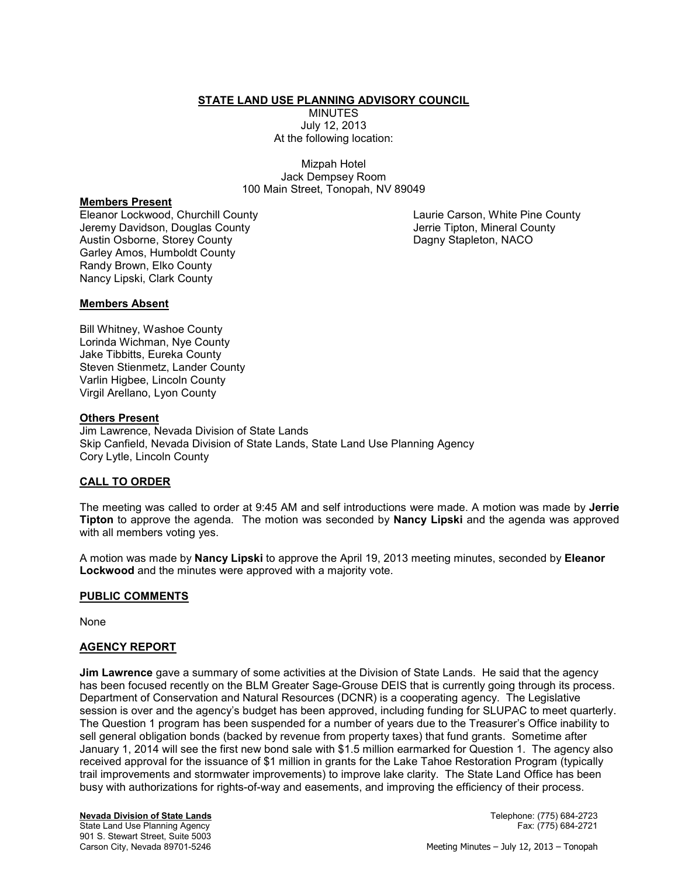## **STATE LAND USE PLANNING ADVISORY COUNCIL**

**MINUTES** July 12, 2013 At the following location:

Mizpah Hotel Jack Dempsey Room 100 Main Street, Tonopah, NV 89049

# **Members Present**

Eleanor Lockwood, Churchill County Jeremy Davidson, Douglas County Austin Osborne, Storey County Garley Amos, Humboldt County Randy Brown, Elko County Nancy Lipski, Clark County

Laurie Carson, White Pine County Jerrie Tipton, Mineral County Dagny Stapleton, NACO

### **Members Absent**

Bill Whitney, Washoe County Lorinda Wichman, Nye County Jake Tibbitts, Eureka County Steven Stienmetz, Lander County Varlin Higbee, Lincoln County Virgil Arellano, Lyon County

### **Others Present**

Jim Lawrence, Nevada Division of State Lands Skip Canfield, Nevada Division of State Lands, State Land Use Planning Agency Cory Lytle, Lincoln County

## **CALL TO ORDER**

The meeting was called to order at 9:45 AM and self introductions were made. A motion was made by **Jerrie Tipton** to approve the agenda. The motion was seconded by **Nancy Lipski** and the agenda was approved with all members voting yes.

A motion was made by **Nancy Lipski** to approve the April 19, 2013 meeting minutes, seconded by **Eleanor Lockwood** and the minutes were approved with a majority vote.

### **PUBLIC COMMENTS**

None

### **AGENCY REPORT**

**Jim Lawrence** gave a summary of some activities at the Division of State Lands. He said that the agency has been focused recently on the BLM Greater Sage-Grouse DEIS that is currently going through its process. Department of Conservation and Natural Resources (DCNR) is a cooperating agency. The Legislative session is over and the agency's budget has been approved, including funding for SLUPAC to meet quarterly. The Question 1 program has been suspended for a number of years due to the Treasurer's Office inability to sell general obligation bonds (backed by revenue from property taxes) that fund grants. Sometime after January 1, 2014 will see the first new bond sale with \$1.5 million earmarked for Question 1. The agency also received approval for the issuance of \$1 million in grants for the Lake Tahoe Restoration Program (typically trail improvements and stormwater improvements) to improve lake clarity. The State Land Office has been busy with authorizations for rights-of-way and easements, and improving the efficiency of their process.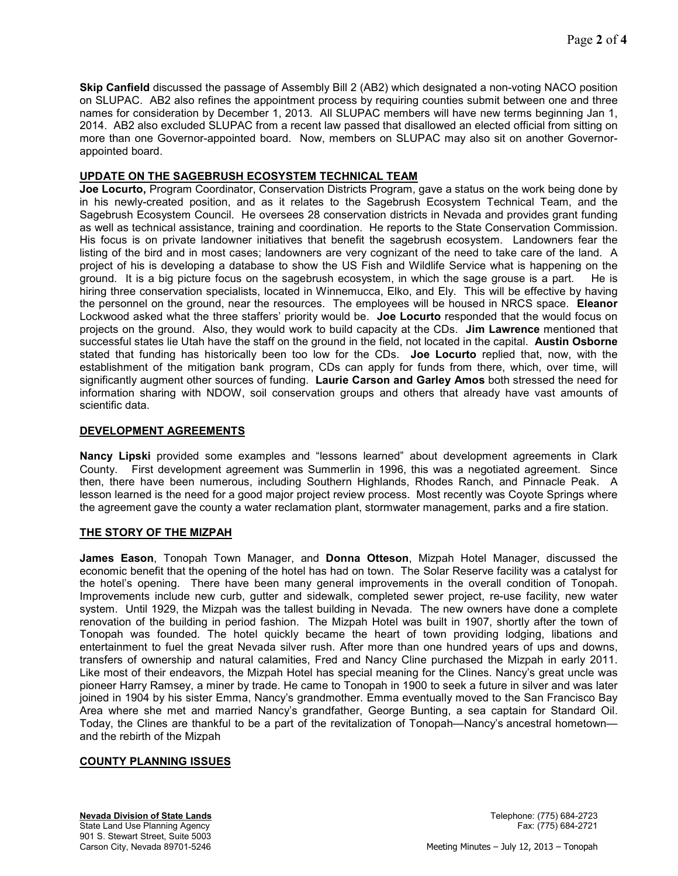**Skip Canfield** discussed the passage of Assembly Bill 2 (AB2) which designated a non-voting NACO position on SLUPAC. AB2 also refines the appointment process by requiring counties submit between one and three names for consideration by December 1, 2013. All SLUPAC members will have new terms beginning Jan 1, 2014. AB2 also excluded SLUPAC from a recent law passed that disallowed an elected official from sitting on more than one Governor-appointed board. Now, members on SLUPAC may also sit on another Governorappointed board.

# **UPDATE ON THE SAGEBRUSH ECOSYSTEM TECHNICAL TEAM**

**Joe Locurto,** Program Coordinator, Conservation Districts Program, gave a status on the work being done by in his newly-created position, and as it relates to the Sagebrush Ecosystem Technical Team, and the Sagebrush Ecosystem Council. He oversees 28 conservation districts in Nevada and provides grant funding as well as technical assistance, training and coordination. He reports to the State Conservation Commission. His focus is on private landowner initiatives that benefit the sagebrush ecosystem. Landowners fear the listing of the bird and in most cases; landowners are very cognizant of the need to take care of the land. A project of his is developing a database to show the US Fish and Wildlife Service what is happening on the ground. It is a big picture focus on the sagebrush ecosystem, in which the sage grouse is a part. He is hiring three conservation specialists, located in Winnemucca, Elko, and Ely. This will be effective by having the personnel on the ground, near the resources. The employees will be housed in NRCS space. **Eleanor**  Lockwood asked what the three staffers' priority would be. **Joe Locurto** responded that the would focus on projects on the ground. Also, they would work to build capacity at the CDs. **Jim Lawrence** mentioned that successful states lie Utah have the staff on the ground in the field, not located in the capital. **Austin Osborne**  stated that funding has historically been too low for the CDs. **Joe Locurto** replied that, now, with the establishment of the mitigation bank program, CDs can apply for funds from there, which, over time, will significantly augment other sources of funding. **Laurie Carson and Garley Amos** both stressed the need for information sharing with NDOW, soil conservation groups and others that already have vast amounts of scientific data.

# **DEVELOPMENT AGREEMENTS**

**Nancy Lipski** provided some examples and "lessons learned" about development agreements in Clark County. First development agreement was Summerlin in 1996, this was a negotiated agreement. Since then, there have been numerous, including Southern Highlands, Rhodes Ranch, and Pinnacle Peak. A lesson learned is the need for a good major project review process. Most recently was Coyote Springs where the agreement gave the county a water reclamation plant, stormwater management, parks and a fire station.

# **THE STORY OF THE MIZPAH**

**James Eason**, Tonopah Town Manager, and **Donna Otteson**, Mizpah Hotel Manager, discussed the economic benefit that the opening of the hotel has had on town. The Solar Reserve facility was a catalyst for the hotel's opening. There have been many general improvements in the overall condition of Tonopah. Improvements include new curb, gutter and sidewalk, completed sewer project, re-use facility, new water system. Until 1929, the Mizpah was the tallest building in Nevada. The new owners have done a complete renovation of the building in period fashion. The Mizpah Hotel was built in 1907, shortly after the town of Tonopah was founded. The hotel quickly became the heart of town providing lodging, libations and entertainment to fuel the great Nevada silver rush. After more than one hundred years of ups and downs, transfers of ownership and natural calamities, Fred and Nancy Cline purchased the Mizpah in early 2011. Like most of their endeavors, the Mizpah Hotel has special meaning for the Clines. Nancy's great uncle was pioneer Harry Ramsey, a miner by trade. He came to Tonopah in 1900 to seek a future in silver and was later joined in 1904 by his sister Emma, Nancy's grandmother. Emma eventually moved to the San Francisco Bay Area where she met and married Nancy's grandfather, George Bunting, a sea captain for Standard Oil. Today, the Clines are thankful to be a part of the revitalization of Tonopah—Nancy's ancestral hometown and the rebirth of the Mizpah

# **COUNTY PLANNING ISSUES**

**Nevada Division of State Lands** Telephone: (775) 684-2723 State Land Use Planning Agency Fax: (775) 684-2721 901 S. Stewart Street, Suite 5003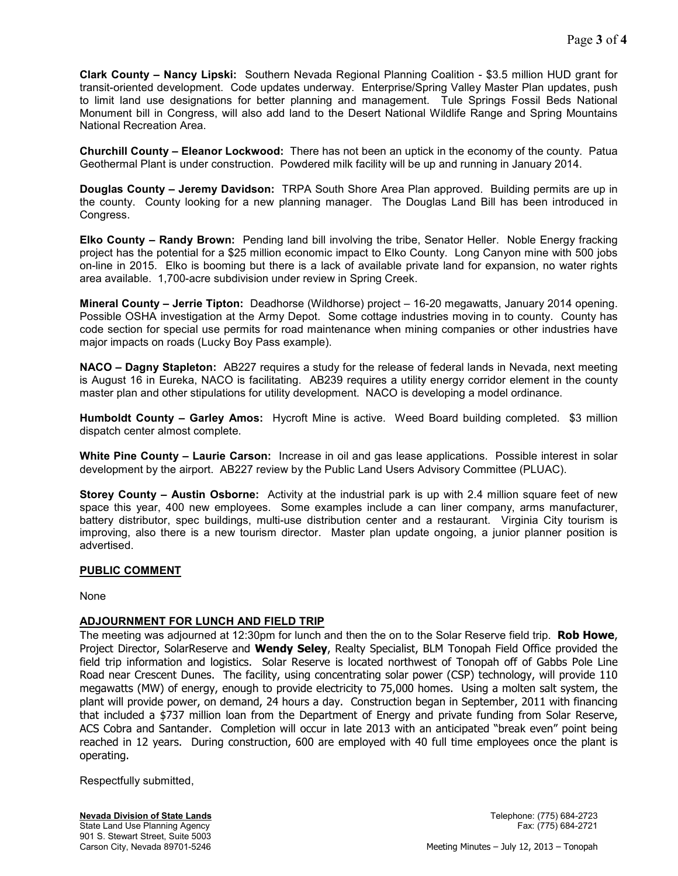**Clark County – Nancy Lipski:** Southern Nevada Regional Planning Coalition - \$3.5 million HUD grant for transit-oriented development. Code updates underway. Enterprise/Spring Valley Master Plan updates, push to limit land use designations for better planning and management. Tule Springs Fossil Beds National Monument bill in Congress, will also add land to the Desert National Wildlife Range and Spring Mountains National Recreation Area.

**Churchill County – Eleanor Lockwood:** There has not been an uptick in the economy of the county. Patua Geothermal Plant is under construction. Powdered milk facility will be up and running in January 2014.

**Douglas County – Jeremy Davidson:** TRPA South Shore Area Plan approved. Building permits are up in the county. County looking for a new planning manager. The Douglas Land Bill has been introduced in Congress.

**Elko County – Randy Brown:** Pending land bill involving the tribe, Senator Heller. Noble Energy fracking project has the potential for a \$25 million economic impact to Elko County. Long Canyon mine with 500 jobs on-line in 2015. Elko is booming but there is a lack of available private land for expansion, no water rights area available. 1,700-acre subdivision under review in Spring Creek.

**Mineral County – Jerrie Tipton:** Deadhorse (Wildhorse) project – 16-20 megawatts, January 2014 opening. Possible OSHA investigation at the Army Depot. Some cottage industries moving in to county. County has code section for special use permits for road maintenance when mining companies or other industries have major impacts on roads (Lucky Boy Pass example).

**NACO – Dagny Stapleton:** AB227 requires a study for the release of federal lands in Nevada, next meeting is August 16 in Eureka, NACO is facilitating. AB239 requires a utility energy corridor element in the county master plan and other stipulations for utility development. NACO is developing a model ordinance.

**Humboldt County – Garley Amos:** Hycroft Mine is active. Weed Board building completed. \$3 million dispatch center almost complete.

**White Pine County – Laurie Carson:** Increase in oil and gas lease applications. Possible interest in solar development by the airport. AB227 review by the Public Land Users Advisory Committee (PLUAC).

**Storey County – Austin Osborne:** Activity at the industrial park is up with 2.4 million square feet of new space this year, 400 new employees. Some examples include a can liner company, arms manufacturer, battery distributor, spec buildings, multi-use distribution center and a restaurant. Virginia City tourism is improving, also there is a new tourism director. Master plan update ongoing, a junior planner position is advertised.

# **PUBLIC COMMENT**

None

# **ADJOURNMENT FOR LUNCH AND FIELD TRIP**

The meeting was adjourned at 12:30pm for lunch and then the on to the Solar Reserve field trip. **Rob Howe**, Project Director, SolarReserve and **Wendy Seley**, Realty Specialist, BLM Tonopah Field Office provided the field trip information and logistics. Solar Reserve is located northwest of Tonopah off of Gabbs Pole Line Road near Crescent Dunes. The facility, using concentrating solar power (CSP) technology, will provide 110 megawatts (MW) of energy, enough to provide electricity to 75,000 homes. Using a molten salt system, the plant will provide power, on demand, 24 hours a day. Construction began in September, 2011 with financing that included a \$737 million loan from the Department of Energy and private funding from Solar Reserve, ACS Cobra and Santander. Completion will occur in late 2013 with an anticipated "break even" point being reached in 12 years. During construction, 600 are employed with 40 full time employees once the plant is operating.

Respectfully submitted,

**Nevada Division of State Lands** Telephone: (775) 684-2723 State Land Use Planning Agency Fax: (775) 684-2721 901 S. Stewart Street, Suite 5003